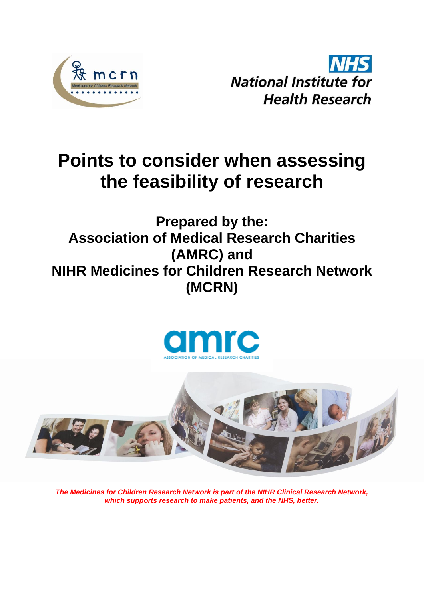

**NHS National Institute for Health Research** 

# **Points to consider when assessing the feasibility of research**

# **Prepared by the: Association of Medical Research Charities (AMRC) and NIHR Medicines for Children Research Network (MCRN)**





*The Medicines for Children Research Network is part of the NIHR Clinical Research Network, which supports research to make patients, and the NHS, better.*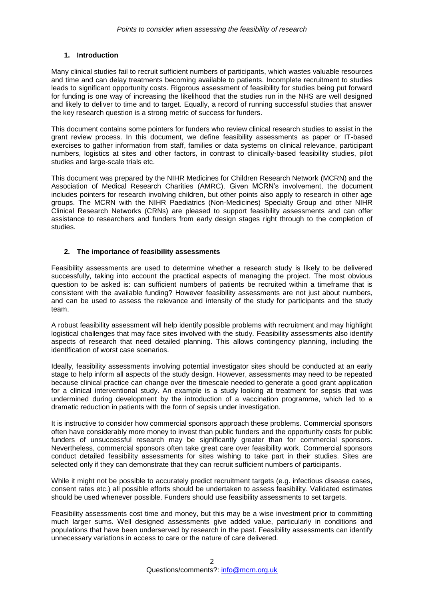### **1. Introduction**

Many clinical studies fail to recruit sufficient numbers of participants, which wastes valuable resources and time and can delay treatments becoming available to patients. Incomplete recruitment to studies leads to significant opportunity costs. Rigorous assessment of feasibility for studies being put forward for funding is one way of increasing the likelihood that the studies run in the NHS are well designed and likely to deliver to time and to target. Equally, a record of running successful studies that answer the key research question is a strong metric of success for funders.

This document contains some pointers for funders who review clinical research studies to assist in the grant review process. In this document, we define feasibility assessments as paper or IT-based exercises to gather information from staff, families or data systems on clinical relevance, participant numbers, logistics at sites and other factors, in contrast to clinically-based feasibility studies, pilot studies and large-scale trials etc.

This document was prepared by the NIHR Medicines for Children Research Network (MCRN) and the Association of Medical Research Charities (AMRC). Given MCRN's involvement, the document includes pointers for research involving children, but other points also apply to research in other age groups. The MCRN with the NIHR Paediatrics (Non-Medicines) Specialty Group and other NIHR Clinical Research Networks (CRNs) are pleased to support feasibility assessments and can offer assistance to researchers and funders from early design stages right through to the completion of studies.

#### **2. The importance of feasibility assessments**

Feasibility assessments are used to determine whether a research study is likely to be delivered successfully, taking into account the practical aspects of managing the project. The most obvious question to be asked is: can sufficient numbers of patients be recruited within a timeframe that is consistent with the available funding? However feasibility assessments are not just about numbers, and can be used to assess the relevance and intensity of the study for participants and the study team.

A robust feasibility assessment will help identify possible problems with recruitment and may highlight logistical challenges that may face sites involved with the study. Feasibility assessments also identify aspects of research that need detailed planning. This allows contingency planning, including the identification of worst case scenarios.

Ideally, feasibility assessments involving potential investigator sites should be conducted at an early stage to help inform all aspects of the study design. However, assessments may need to be repeated because clinical practice can change over the timescale needed to generate a good grant application for a clinical interventional study. An example is a study looking at treatment for sepsis that was undermined during development by the introduction of a vaccination programme, which led to a dramatic reduction in patients with the form of sepsis under investigation.

It is instructive to consider how commercial sponsors approach these problems. Commercial sponsors often have considerably more money to invest than public funders and the opportunity costs for public funders of unsuccessful research may be significantly greater than for commercial sponsors. Nevertheless, commercial sponsors often take great care over feasibility work. Commercial sponsors conduct detailed feasibility assessments for sites wishing to take part in their studies. Sites are selected only if they can demonstrate that they can recruit sufficient numbers of participants.

While it might not be possible to accurately predict recruitment targets (e.g. infectious disease cases, consent rates etc.) all possible efforts should be undertaken to assess feasibility. Validated estimates should be used whenever possible. Funders should use feasibility assessments to set targets.

Feasibility assessments cost time and money, but this may be a wise investment prior to committing much larger sums. Well designed assessments give added value, particularly in conditions and populations that have been underserved by research in the past. Feasibility assessments can identify unnecessary variations in access to care or the nature of care delivered.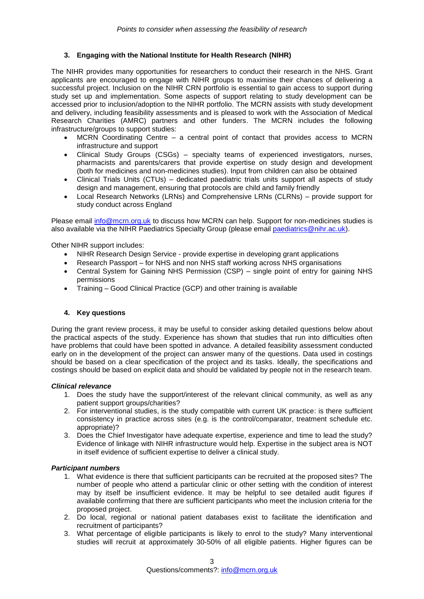# **3. Engaging with the National Institute for Health Research (NIHR)**

The NIHR provides many opportunities for researchers to conduct their research in the NHS. Grant applicants are encouraged to engage with NIHR groups to maximise their chances of delivering a successful project. Inclusion on the NIHR CRN portfolio is essential to gain access to support during study set up and implementation. Some aspects of support relating to study development can be accessed prior to inclusion/adoption to the NIHR portfolio. The MCRN assists with study development and delivery, including feasibility assessments and is pleased to work with the Association of Medical Research Charities (AMRC) partners and other funders. The MCRN includes the following infrastructure/groups to support studies:

- MCRN Coordinating Centre a central point of contact that provides access to MCRN infrastructure and support
- Clinical Study Groups (CSGs) specialty teams of experienced investigators, nurses, pharmacists and parents/carers that provide expertise on study design and development (both for medicines and non-medicines studies). Input from children can also be obtained
- Clinical Trials Units (CTUs) dedicated paediatric trials units support all aspects of study design and management, ensuring that protocols are child and family friendly
- Local Research Networks (LRNs) and Comprehensive LRNs (CLRNs) provide support for study conduct across England

Please email [info@mcrn.org.uk](mailto:info@mcrn.org.uk) to discuss how MCRN can help. Support for non-medicines studies is also available via the NIHR Paediatrics Specialty Group (please email [paediatrics@nihr.ac.uk\)](mailto:paediatrics@nihr.ac.uk).

Other NIHR support includes:

- NIHR Research Design Service provide expertise in developing grant applications
- Research Passport for NHS and non NHS staff working across NHS organisations
- Central System for Gaining NHS Permission (CSP) single point of entry for gaining NHS permissions
- Training Good Clinical Practice (GCP) and other training is available

# **4. Key questions**

During the grant review process, it may be useful to consider asking detailed questions below about the practical aspects of the study. Experience has shown that studies that run into difficulties often have problems that could have been spotted in advance. A detailed feasibility assessment conducted early on in the development of the project can answer many of the questions. Data used in costings should be based on a clear specification of the project and its tasks. Ideally, the specifications and costings should be based on explicit data and should be validated by people not in the research team.

#### *Clinical relevance*

- 1. Does the study have the support/interest of the relevant clinical community, as well as any patient support groups/charities?
- 2. For interventional studies, is the study compatible with current UK practice: is there sufficient consistency in practice across sites (e.g. is the control/comparator, treatment schedule etc. appropriate)?
- 3. Does the Chief Investigator have adequate expertise, experience and time to lead the study? Evidence of linkage with NIHR infrastructure would help. Expertise in the subject area is NOT in itself evidence of sufficient expertise to deliver a clinical study.

# *Participant numbers*

- 1. What evidence is there that sufficient participants can be recruited at the proposed sites? The number of people who attend a particular clinic or other setting with the condition of interest may by itself be insufficient evidence. It may be helpful to see detailed audit figures if available confirming that there are sufficient participants who meet the inclusion criteria for the proposed project.
- 2. Do local, regional or national patient databases exist to facilitate the identification and recruitment of participants?
- 3. What percentage of eligible participants is likely to enrol to the study? Many interventional studies will recruit at approximately 30-50% of all eligible patients. Higher figures can be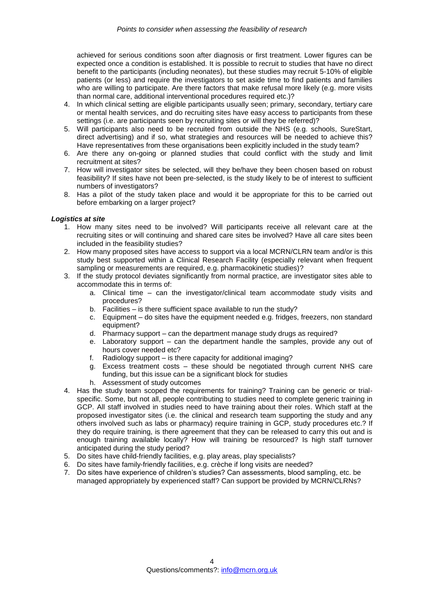achieved for serious conditions soon after diagnosis or first treatment. Lower figures can be expected once a condition is established. It is possible to recruit to studies that have no direct benefit to the participants (including neonates), but these studies may recruit 5-10% of eligible patients (or less) and require the investigators to set aside time to find patients and families who are willing to participate. Are there factors that make refusal more likely (e.g. more visits than normal care, additional interventional procedures required etc.)?

- 4. In which clinical setting are eligible participants usually seen; primary, secondary, tertiary care or mental health services, and do recruiting sites have easy access to participants from these settings (i.e. are participants seen by recruiting sites or will they be referred)?
- 5. Will participants also need to be recruited from outside the NHS (e.g. schools, SureStart, direct advertising) and if so, what strategies and resources will be needed to achieve this? Have representatives from these organisations been explicitly included in the study team?
- 6. Are there any on-going or planned studies that could conflict with the study and limit recruitment at sites?
- 7. How will investigator sites be selected, will they be/have they been chosen based on robust feasibility? If sites have not been pre-selected, is the study likely to be of interest to sufficient numbers of investigators?
- 8. Has a pilot of the study taken place and would it be appropriate for this to be carried out before embarking on a larger project?

#### *Logistics at site*

- 1. How many sites need to be involved? Will participants receive all relevant care at the recruiting sites or will continuing and shared care sites be involved? Have all care sites been included in the feasibility studies?
- 2. How many proposed sites have access to support via a local MCRN/CLRN team and/or is this study best supported within a Clinical Research Facility (especially relevant when frequent sampling or measurements are required, e.g. pharmacokinetic studies)?
- 3. If the study protocol deviates significantly from normal practice, are investigator sites able to accommodate this in terms of:
	- a. Clinical time can the investigator/clinical team accommodate study visits and procedures?
	- b. Facilities is there sufficient space available to run the study?
	- c. Equipment do sites have the equipment needed e.g. fridges, freezers, non standard equipment?
	- d. Pharmacy support can the department manage study drugs as required?
	- e. Laboratory support can the department handle the samples, provide any out of hours cover needed etc?
	- f. Radiology support is there capacity for additional imaging?
	- g. Excess treatment costs these should be negotiated through current NHS care funding, but this issue can be a significant block for studies
	- h. Assessment of study outcomes
- 4. Has the study team scoped the requirements for training? Training can be generic or trialspecific. Some, but not all, people contributing to studies need to complete generic training in GCP. All staff involved in studies need to have training about their roles. Which staff at the proposed investigator sites (i.e. the clinical and research team supporting the study and any others involved such as labs or pharmacy) require training in GCP, study procedures etc.? If they do require training, is there agreement that they can be released to carry this out and is enough training available locally? How will training be resourced? Is high staff turnover anticipated during the study period?
- 5. Do sites have child-friendly facilities, e.g. play areas, play specialists?
- 6. Do sites have family-friendly facilities, e.g. crèche if long visits are needed?
- 7. Do sites have experience of children's studies? Can assessments, blood sampling, etc. be managed appropriately by experienced staff? Can support be provided by MCRN/CLRNs?